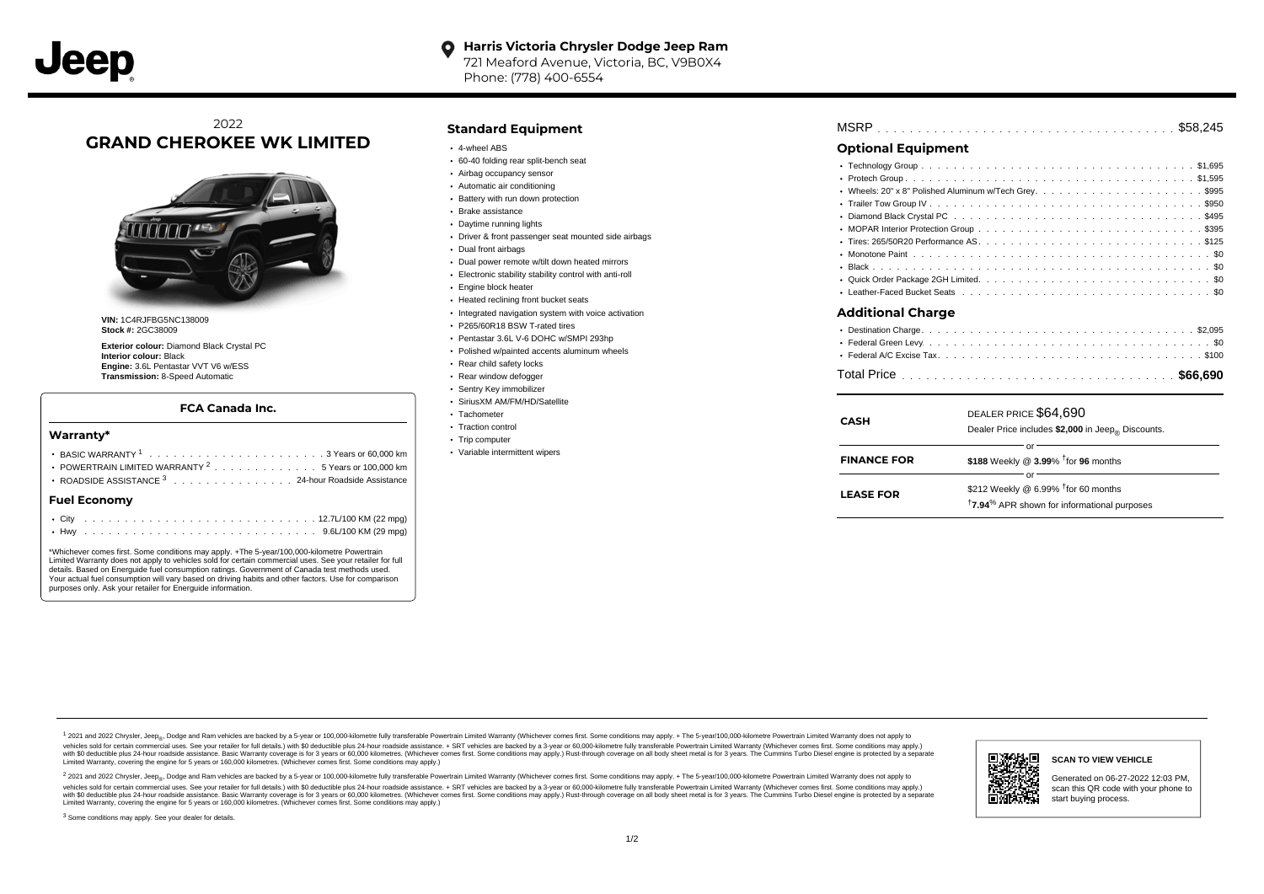#### **Harris Victoria Chrysler Dodge Jeep Ram**  $\bullet$

721 Meaford Avenue, Victoria, BC, V9B0X4 Phone: (778) 400-6554

# 2022 **GRAND CHEROKEE WK LIMITED**



**VIN:** 1C4RJFBG5NC138009 **Stock #:** 2GC38009

**Exterior colour:** Diamond Black Crystal PC **Interior colour:** Black **Engine:** 3.6L Pentastar VVT V6 w/ESS **Transmission:** 8-Speed Automatic

#### **FCA Canada Inc.**

#### **Warranty\***

| POWERTRAIN LIMITED WARRANTY <sup>2</sup> 5 Years or 100,000 km    |  |  |  |  |  |  |  |  |  |  |  |  |  |  |  |  |  |  |
|-------------------------------------------------------------------|--|--|--|--|--|--|--|--|--|--|--|--|--|--|--|--|--|--|
| ROADSIDE ASSISTANCE 3 24-hour Roadside Assistance<br>Fuel Economv |  |  |  |  |  |  |  |  |  |  |  |  |  |  |  |  |  |  |
|                                                                   |  |  |  |  |  |  |  |  |  |  |  |  |  |  |  |  |  |  |

\*Whichever comes first. Some conditions may apply. +The 5-year/100,000-kilometre Powertrain Limited Warranty does not apply to vehicles sold for certain commercial uses. See your retailer for full details. Based on Energuide fuel consumption ratings. Government of Canada test methods used. Your actual fuel consumption will vary based on driving habits and other factors. Use for comparison purposes only. Ask your retailer for Energuide information.

#### **Standard Equipment**

- 4-wheel ABS
- 60-40 folding rear split-bench seat
- Airbag occupancy sensor
- Automatic air conditioning
- Battery with run down protection
- Brake assistance
- Daytime running lights
- Driver & front passenger seat mounted side airbags
- Dual front airbags
- Dual power remote w/tilt down heated mirrors
- Electronic stability stability control with anti-roll
- Engine block heater
- Heated reclining front bucket seats
- $\cdot$  Integrated navigation system with voice activation
- P265/60R18 BSW T-rated tires
- Pentastar 3.6L V-6 DOHC w/SMPI 293hp
- Polished w/painted accents aluminum wheels
- Rear child safety locks
- Rear window defogger
- Sentry Key immobilizer
- SiriusXM AM/FM/HD/Satellite
- Tachometer
- Traction control
- Trip computer
- Variable intermittent wipers

| MSRP |  |  |  |  |  |  |  |  |  |  |  |  |  |  |  |  |  |  |  |  |  |  |  |  |  |  |  |  |  |  |  |  |  |  |  |  |  |  |  |  |  |  |  |  |  |  |
|------|--|--|--|--|--|--|--|--|--|--|--|--|--|--|--|--|--|--|--|--|--|--|--|--|--|--|--|--|--|--|--|--|--|--|--|--|--|--|--|--|--|--|--|--|--|--|
|------|--|--|--|--|--|--|--|--|--|--|--|--|--|--|--|--|--|--|--|--|--|--|--|--|--|--|--|--|--|--|--|--|--|--|--|--|--|--|--|--|--|--|--|--|--|--|

## **Optional Equipment**

| Additional Charge |
|-------------------|
|                   |
|                   |
|                   |
|                   |

| <b>CASH</b>        | DEALER PRICE \$64,690<br>Dealer Price includes \$2,000 in Jeep <sub>®</sub> Discounts.                                 |
|--------------------|------------------------------------------------------------------------------------------------------------------------|
| <b>FINANCE FOR</b> | Ωľ<br>\$188 Weekly @ 3.99% <sup>t</sup> for 96 months                                                                  |
|                    | ОГ                                                                                                                     |
| <b>LEASE FOR</b>   | \$212 Weekly @ 6.99% <sup>†</sup> for 60 months<br><sup>†</sup> 7.94 <sup>%</sup> APR shown for informational purposes |

1 2021 and 2022 Chrysler, Jeep<sub>en</sub> Dodge and Ram vehicles are backed by a 5-year or 100,000-kilometre fully transferable Powertrain Limited Warranty (Whichever comes first. Some conditions may apply. + The 5-year/100,000-k vehicles sold for certain commercial uses. See your retailer for full details.) with \$0 deductible plus 24-hour roadside assistance. + SRT vehicles are backed by a 3-year or 60,000-kilometre fully transferable Powertrain L ventals and contract when the contract when the contract you contract when the contract when the control of the set of a set of a set of a set of 3 years of 60,000 kilometres. Whichever comes first. Some conditions may app Limited Warranty, covering the engine for 5 years or 160,000 kilometres. (Whichever comes first. Some conditions may apply.)

<sup>2</sup> 2021 and 2022 Chrysler, Jeep<sub>®</sub>, Dodge and Ram vehicles are backed by a 5-year or 100,000-kilometre fully transferable Powertrain Limited Warranty (Whichever comes first. Some conditions may apply. + The 5-year/100,000 vehicles sold for certain commercial uses. See your retailer for full details.) with SO deductible plus 24-hour roadside assistance. + SRT vehicles are backed by a 3-year or 60.000-kilometre fully transferable Powertrain L with S0 deductible plus 24-hour roadside assistance. Basic Warranty coverage is for 3 years or 60,000 kilometres. (Whichever comes first. Some conditions may apply.) Rust-through coverage on all body sheet metal is for 3 y







### **SCAN TO VIEW VEHICLE**

Generated on 06-27-2022 12:03 PM, scan this QR code with your phone to start buying process.